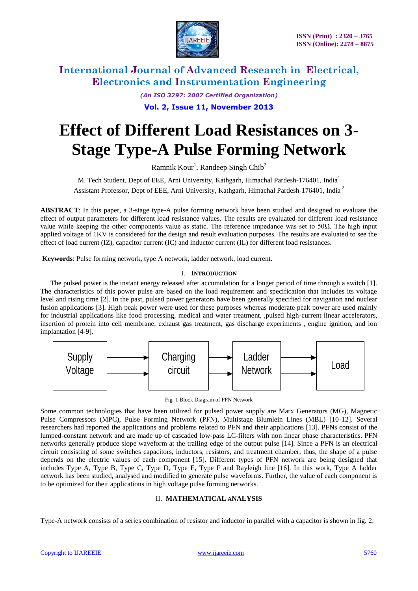

*(An ISO 3297: 2007 Certified Organization)*

**Vol. 2, Issue 11, November 2013**

# **Effect of Different Load Resistances on 3- Stage Type-A Pulse Forming Network**

Ramnik Kour<sup>1</sup>, Randeep Singh Chib<sup>2</sup>

M. Tech Student, Dept of EEE, Arni University, Kathgarh, Himachal Pardesh-176401, India<sup>1</sup> Assistant Professor, Dept of EEE, Arni University, Kathgarh, Himachal Pardesh-176401, India <sup>2</sup>

**ABSTRACT**: In this paper, a 3-stage type-A pulse forming network have been studied and designed to evaluate the effect of output parameters for different load resistance values. The results are evaluated for different load resistance value while keeping the other components value as static. The reference impedance was set to 50Ω. The high input applied voltage of 1KV is considered for the design and result evaluation purposes. The results are evaluated to see the effect of load current (IZ), capacitor current (IC) and inductor current (IL) for different load resistances.

**Keywords**: Pulse forming network, type A network, ladder network, load current.

### I. **INTRODUCTION**

The pulsed power is the instant energy released after accumulation for a longer period of time through a switch [1]. The characteristics of this power pulse are based on the load requirement and specification that includes its voltage level and rising time [2]. In the past, pulsed power generators have been generally specified for navigation and nuclear fusion applications [3]. High peak power were used for these purposes whereas moderate peak power are used mainly for industrial applications like food processing, medical and water treatment, ,pulsed high-current linear accelerators, insertion of protein into cell membrane, exhaust gas treatment, gas discharge experiments , engine ignition, and ion implantation [4-9].



Fig. 1 Block Diagram of PFN Network

Some common technologies that have been utilized for pulsed power supply are Marx Generators (MG), Magnetic Pulse Compressors (MPC), Pulse Forming Network (PFN), Multistage Blumlein Lines (MBL) [10-12]. Several researchers had reported the applications and problems related to PFN and their applications [13]. PFNs consist of the lumped-constant network and are made up of cascaded low-pass LC-filters with non linear phase characteristics. PFN networks generally produce slope waveform at the trailing edge of the output pulse [14]. Since a PFN is an electrical circuit consisting of some switches capacitors, inductors, resistors, and treatment chamber, thus, the shape of a pulse depends on the electric values of each component [15]. Different types of PFN network are being designed that includes Type A, Type B, Type C, Type D, Type E, Type F and Rayleigh line [16]. In this work, Type A ladder network has been studied, analysed and modified to generate pulse waveforms. Further, the value of each component is to be optimized for their applications in high voltage pulse forming networks.

#### II. **MATHEMATICAL ANALYSIS**

Type-A network consists of a series combination of resistor and inductor in parallel with a capacitor is shown in fig. 2.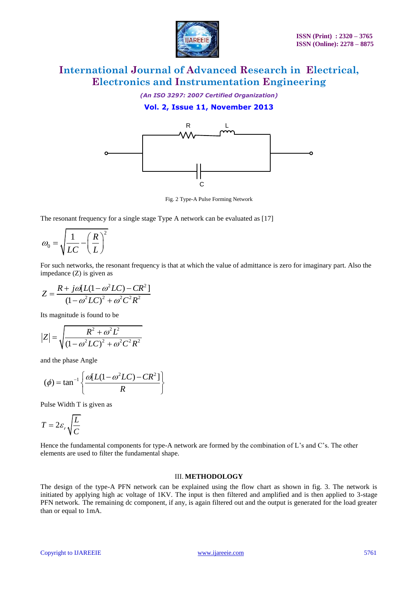

*(An ISO 3297: 2007 Certified Organization)*

### **Vol. 2, Issue 11, November 2013**



Fig. 2 Type-A Pulse Forming Network

The resonant frequency for a single stage Type A network can be evaluated as [17]

$$
\omega_0 = \sqrt{\frac{1}{LC} - \left(\frac{R}{L}\right)^2}
$$

For such networks, the resonant frequency is that at which the value of admittance is zero for imaginary part. Also the impedance (Z) is given as

$$
Z = \frac{R + j\omega[L(1 - \omega^{2}LC) - CR^{2}]}{(1 - \omega^{2}LC)^{2} + \omega^{2}C^{2}R^{2}}
$$

Its magnitude is found to be

$$
|Z| = \sqrt{\frac{R^2 + \omega^2 L^2}{(1 - \omega^2 LC)^2 + \omega^2 C^2 R^2}}
$$

and the phase Angle

$$
(\phi) = \tan^{-1}\left\{\frac{\omega[L(1-\omega^2 LC) - CR^2]}{R}\right\}
$$

Pulse Width T is given as

$$
T=2\varepsilon_r\sqrt{\frac{L}{C}}
$$

Hence the fundamental components for type-A network are formed by the combination of L's and C's. The other elements are used to filter the fundamental shape.

#### III. **METHODOLOGY**

The design of the type-A PFN network can be explained using the flow chart as shown in fig. 3. The network is initiated by applying high ac voltage of 1KV. The input is then filtered and amplified and is then applied to 3-stage PFN network. The remaining dc component, if any, is again filtered out and the output is generated for the load greater than or equal to 1mA.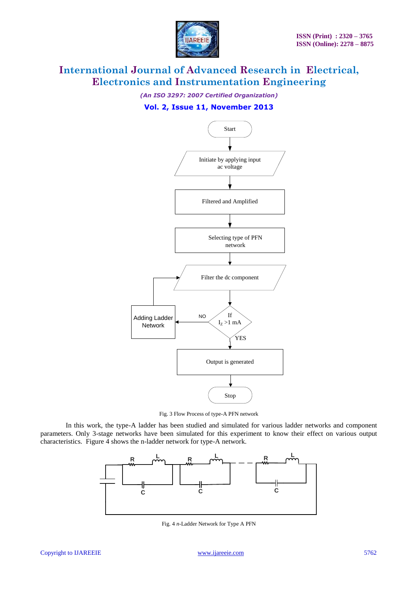

*(An ISO 3297: 2007 Certified Organization)*

### **Vol. 2, Issue 11, November 2013**



Fig. 3 Flow Process of type-A PFN network

In this work, the type-A ladder has been studied and simulated for various ladder networks and component parameters. Only 3-stage networks have been simulated for this experiment to know their effect on various output characteristics. Figure 4 shows the n-ladder network for type-A network.



Fig. 4 *n*-Ladder Network for Type A PFN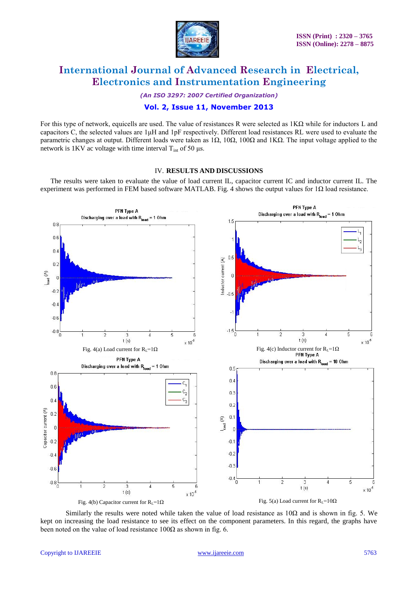

*(An ISO 3297: 2007 Certified Organization)*

### **Vol. 2, Issue 11, November 2013**

For this type of network, equicells are used. The value of resistances R were selected as  $1K\Omega$  while for inductors L and capacitors C, the selected values are 1μH and 1pF respectively. Different load resistances RL were used to evaluate the parametric changes at output. Different loads were taken as 1Ω, 10Ω, 100Ω and 1KΩ. The input voltage applied to the network is 1KV ac voltage with time interval  $T<sub>int</sub>$  of 50 μs.

#### IV. **RESULTS AND DISCUSSIONS**

The results were taken to evaluate the value of load current IL, capacitor current IC and inductor current IL. The experiment was performed in FEM based software MATLAB. Fig. 4 shows the output values for  $1\Omega$  load resistance.



Similarly the results were noted while taken the value of load resistance as  $10\Omega$  and is shown in fig. 5. We kept on increasing the load resistance to see its effect on the component parameters. In this regard, the graphs have been noted on the value of load resistance  $100\Omega$  as shown in fig. 6.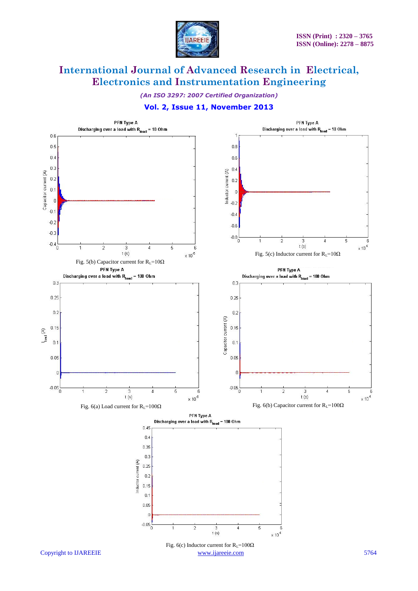

*(An ISO 3297: 2007 Certified Organization)*